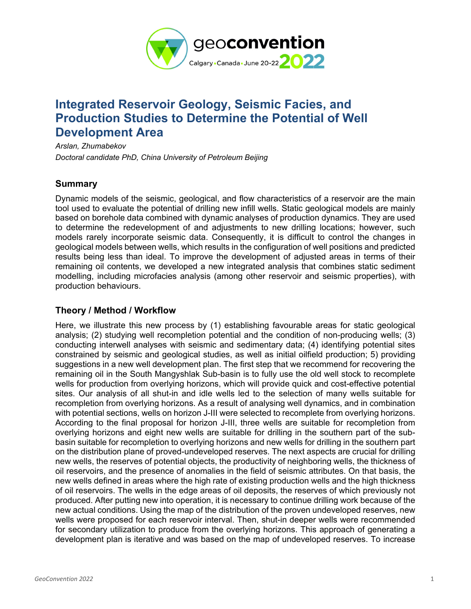

# **Integrated Reservoir Geology, Seismic Facies, and Production Studies to Determine the Potential of Well Development Area**

*Arslan, Zhumabekov Doctoral candidate PhD, China University of Petroleum Beijing* 

# **Summary**

Dynamic models of the seismic, geological, and flow characteristics of a reservoir are the main tool used to evaluate the potential of drilling new infill wells. Static geological models are mainly based on borehole data combined with dynamic analyses of production dynamics. They are used to determine the redevelopment of and adjustments to new drilling locations; however, such models rarely incorporate seismic data. Consequently, it is difficult to control the changes in geological models between wells, which results in the configuration of well positions and predicted results being less than ideal. To improve the development of adjusted areas in terms of their remaining oil contents, we developed a new integrated analysis that combines static sediment modelling, including microfacies analysis (among other reservoir and seismic properties), with production behaviours.

# **Theory / Method / Workflow**

Here, we illustrate this new process by (1) establishing favourable areas for static geological analysis; (2) studying well recompletion potential and the condition of non-producing wells; (3) conducting interwell analyses with seismic and sedimentary data; (4) identifying potential sites constrained by seismic and geological studies, as well as initial oilfield production; 5) providing suggestions in a new well development plan. The first step that we recommend for recovering the remaining oil in the South Mangyshlak Sub-basin is to fully use the old well stock to recomplete wells for production from overlying horizons, which will provide quick and cost-effective potential sites. Our analysis of all shut-in and idle wells led to the selection of many wells suitable for recompletion from overlying horizons. As a result of analysing well dynamics, and in combination with potential sections, wells on horizon J-III were selected to recomplete from overlying horizons. According to the final proposal for horizon J-III, three wells are suitable for recompletion from overlying horizons and eight new wells are suitable for drilling in the southern part of the subbasin suitable for recompletion to overlying horizons and new wells for drilling in the southern part on the distribution plane of proved-undeveloped reserves. The next aspects are crucial for drilling new wells, the reserves of potential objects, the productivity of neighboring wells, the thickness of oil reservoirs, and the presence of anomalies in the field of seismic attributes. On that basis, the new wells defined in areas where the high rate of existing production wells and the high thickness of oil reservoirs. The wells in the edge areas of oil deposits, the reserves of which previously not produced. After putting new into operation, it is necessary to continue drilling work because of the new actual conditions. Using the map of the distribution of the proven undeveloped reserves, new wells were proposed for each reservoir interval. Then, shut-in deeper wells were recommended for secondary utilization to produce from the overlying horizons. This approach of generating a development plan is iterative and was based on the map of undeveloped reserves. To increase